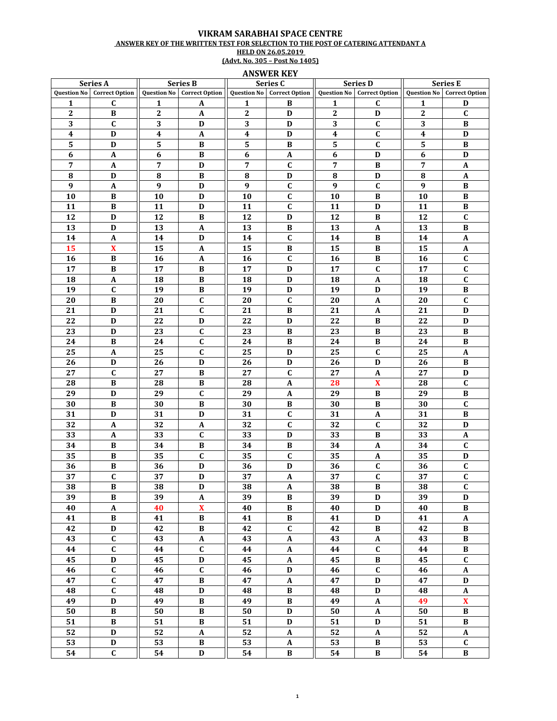## VIKRAM SARABHAI SPACE CENTRE ANSWER KEY OF THE WRITTEN TEST FOR SELECTION TO THE POST OF CATERING ATTENDANT A HELD ON 26.05.2019<br>(Advt. No. 305 – Post No 1405)

**ANSWER KEY** 

| Series A         |                              | <b>Series B</b>  |                                   | Series C         |                                   | <b>Series D</b>  |                            | <b>Series E</b>  |                            |
|------------------|------------------------------|------------------|-----------------------------------|------------------|-----------------------------------|------------------|----------------------------|------------------|----------------------------|
|                  | Question No   Correct Option |                  | <b>Question No</b> Correct Option |                  | <b>Question No</b> Correct Option |                  | Question No Correct Option |                  | Question No Correct Option |
| 1                | $\mathbf{C}$                 | 1                | A                                 | 1                | В                                 | $\mathbf{1}$     | C                          | 1                | D                          |
| $\boldsymbol{2}$ | $\, {\bf B}$                 | $\boldsymbol{2}$ | $\mathbf A$                       | $\boldsymbol{2}$ | D                                 | 2                | D                          | $\boldsymbol{2}$ | $\mathbf{C}$               |
| 3                | $\mathbf{C}$                 | 3                | D                                 | 3                | D                                 | $\mathbf 3$      | $\mathbf C$                | 3                | B                          |
| 4                | D                            | $\boldsymbol{4}$ | A                                 | 4                | D                                 | $\boldsymbol{4}$ | $\mathbf{C}$               | $\boldsymbol{4}$ | D                          |
| 5                | D                            | 5                | В                                 | 5                | В                                 | 5                | C                          | 5                | В                          |
| 6                | A                            | $\boldsymbol{6}$ | B                                 | 6                | $\mathbf{A}$                      | $\boldsymbol{6}$ | D                          | 6                | D                          |
| $\overline{7}$   |                              | $\overline{7}$   | D                                 | 7                |                                   | $\overline{7}$   | B                          | $\overline{7}$   |                            |
|                  | A                            |                  |                                   |                  | C                                 |                  |                            |                  | A                          |
| ${\bf 8}$        | D                            | ${\bf 8}$        | B                                 | 8                | $\mathbf D$                       | 8                | D                          | 8                | $\boldsymbol{A}$           |
| 9                | $\boldsymbol{A}$             | 9                | D                                 | 9                | $\mathbf C$                       | $\boldsymbol{9}$ | $\mathbf{C}$               | 9                | B                          |
| 10               | B                            | 10               | D                                 | 10               | $\mathbf C$                       | 10               | $\bf{B}$                   | 10               | B                          |
| 11               | B                            | 11               | D                                 | 11               | $\mathbf C$                       | 11               | D                          | 11               | B                          |
| 12               | D                            | 12               | $\, {\bf B}$                      | 12               | D                                 | 12               | B                          | 12               | $\mathbf C$                |
| 13               | D                            | 13               | A                                 | 13               | B                                 | 13               | A                          | 13               | B                          |
| 14               | A                            | 14               | D                                 | 14               | $\mathbf C$                       | 14               | B                          | 14               | A                          |
| 15               | $\mathbf x$                  | 15               | A                                 | 15               | B                                 | 15               | В                          | 15               | A                          |
| 16               | B                            | 16               | A                                 | 16               | C                                 | 16               | B                          | 16               | C                          |
| 17               | B                            | 17               | B                                 | 17               | D                                 | 17               | $\mathbf{C}$               | 17               | $\mathbf C$                |
| 18               | $\boldsymbol{A}$             | 18               | $\bf{B}$                          | 18               | $\mathbf D$                       | 18               | $\boldsymbol{\mathsf{A}}$  | 18               | $\mathbf C$                |
| 19               | $\mathbf{C}$                 | 19               | B                                 | 19               | D                                 | 19               | D                          | 19               | $\bf{B}$                   |
| 20               | B                            | 20               | $\mathbf{C}$                      | 20               | $\mathbf C$                       | 20               | A                          | 20               | $\mathbf C$                |
| 21               | D                            | 21               | $\mathbf C$                       | 21               | B                                 | 21               | $\boldsymbol{\mathsf{A}}$  | 21               | D                          |
| 22               | D                            | 22               | D                                 | 22               | D                                 | 22               | B                          | 22               | D                          |
| 23               | $\mathbf D$                  | 23               | $\mathbf C$                       | 23               | B                                 | 23               | B                          | 23               | $\, {\bf B}$               |
| 24               | B                            | 24               | $\mathbf{C}$                      | 24               | B                                 | 24               | B                          | 24               | В                          |
| 25               | A                            | 25               | C                                 | 25               | D                                 | 25               | $\mathbf{C}$               | 25               | A                          |
| 26               | D                            | 26               | D                                 | 26               | D                                 | 26               | D                          | 26               | В                          |
| 27               | C                            | 27               | B                                 | 27               | C                                 | 27               | $\boldsymbol{A}$           | 27               | D                          |
| 28               | $\, {\bf B}$                 | 28               | $\bf{B}$                          | 28               | $\boldsymbol{\mathsf{A}}$         | 28               | $\pmb{\mathbf{X}}$         | 28               | $\mathbf C$                |
| 29               | D                            | 29               | $\mathbf C$                       | 29               | $\mathbf A$                       | 29               | $\, {\bf B}$               | 29               | B                          |
|                  |                              |                  |                                   |                  |                                   |                  |                            |                  |                            |
| 30               | B                            | 30               | B                                 | 30               | B                                 | 30               | B                          | 30               | $\mathbf{C}$               |
| 31               | D                            | 31               | D                                 | 31               | $\mathbf C$                       | 31               | $\boldsymbol{\mathsf{A}}$  | 31               | B                          |
| 32               | A                            | 32               | $\mathbf A$                       | 32               | $\mathbf C$                       | 32               | $\mathbf{C}$               | 32               | D                          |
| 33               | A                            | 33               | $\mathbf C$                       | 33               | D                                 | 33               | B                          | 33               | A                          |
| 34               | B                            | 34               | B                                 | 34               | B                                 | 34               | A                          | 34               | $\mathbf C$                |
| 35               | В                            | 35               | C                                 | 35               | $\mathbf c$                       | 35               | A                          | 35               | D                          |
| 36               | В                            | 36               | D                                 | 36               | D                                 | 36               | C                          | 36               | C                          |
| 37               | $\mathbf C$                  | 37               | $\mathbf D$                       | 37               | $\mathbf{A}$                      | 37               | $\mathbf C$                | 37               | $\mathbf C$                |
| $\overline{38}$  | $\, {\bf B}$                 | $\overline{38}$  | $\mathbf D$                       | $\overline{38}$  | $\pmb{A}$                         | $\overline{38}$  | $\, {\bf B}$               | $\overline{38}$  | C                          |
| 39               | $\bf{B}$                     | 39               | $\mathbf{A}$                      | 39               | B                                 | 39               | D                          | 39               | D                          |
| 40               | $\mathbf{A}$                 | 40               | $\boldsymbol{\mathrm{X}}$         | 40               | B                                 | 40               | D                          | 40               | B                          |
| 41               | $\, {\bf B}$                 | 41               | $\, {\bf B}$                      | 41               | $\, {\bf B}$                      | 41               | $\mathbf D$                | 41               | $\boldsymbol{\mathsf{A}}$  |
| 42               | $\mathbf D$                  | 42               | $\, {\bf B}$                      | 42               | $\mathbf C$                       | 42               | B                          | 42               | B                          |
| 43               | $\mathbf C$                  | 43               | $\pmb{A}$                         | 43               | $\boldsymbol{\mathsf{A}}$         | 43               | $\boldsymbol{\mathsf{A}}$  | 43               | B                          |
| 44               | $\mathbf C$                  | 44               | $\mathbf C$                       | 44               | $\mathbf{A}$                      | 44               | $\mathbf C$                | 44               | $\, {\bf B}$               |
| 45               | D                            | 45               | D                                 | 45               | A                                 | 45               | B                          | 45               | $\mathbf C$                |
| 46               | $\mathbf C$                  | 46               | $\mathbf C$                       | 46               | $\mathbf D$                       | 46               | $\mathbf C$                | 46               | $\boldsymbol{\rm{A}}$      |
| 47               | $\mathbf{C}$                 | 47               | $\, {\bf B}$                      | 47               | $\boldsymbol{\mathsf{A}}$         | 47               | D                          | 47               | $\mathbf D$                |
| 48               | $\mathbf C$                  | 48               | D                                 | 48               | $\, {\bf B}$                      | 48               | $\mathbf D$                | 48               | $\pmb{A}$                  |
| 49               | $\mathbf D$                  | 49               | $\, {\bf B}$                      | 49               | $\, {\bf B}$                      | 49               | $\boldsymbol{\mathsf{A}}$  | 49               | $\overline{\mathbf{X}}$    |
| 50               | $\bf{B}$                     | 50               | $\bf{B}$                          | 50               | D                                 | 50               | $\boldsymbol{A}$           | 50               | $\bf{B}$                   |
| 51               | $\, {\bf B}$                 | 51               | $\, {\bf B}$                      | 51               | $\mathbf D$                       | 51               | $\mathbf D$                | 51               | $\, {\bf B}$               |
|                  |                              |                  |                                   |                  |                                   |                  |                            |                  |                            |
| 52               | $\mathbf D$                  | 52               | $\boldsymbol{\mathsf{A}}$         | 52               | $\mathbf A$                       | 52               | $\boldsymbol{A}$           | 52               | $\boldsymbol{A}$           |
| 53               | $\mathbf D$                  | 53               | $\, {\bf B}$                      | 53               | $\boldsymbol{\mathsf{A}}$         | 53               | $\, {\bf B}$               | 53               | $\mathbf C$                |
| 54               | $\mathbf{C}$                 | 54               | D                                 | 54               | $\bf{B}$                          | 54               | B                          | 54               | B                          |